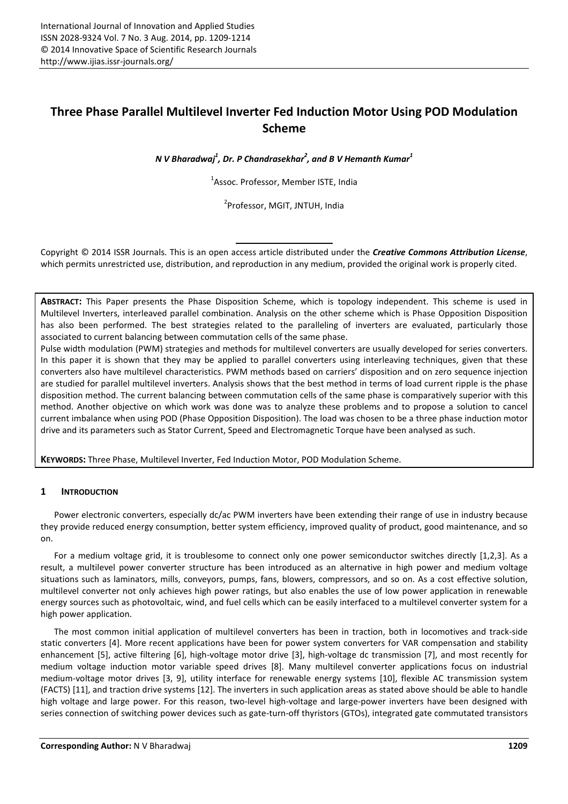# **Three Phase Parallel Multilevel Inverter Fed Induction Motor Using POD Modulation Scheme**

*N V Bharadwaj<sup>1</sup> , Dr. P Chandrasekhar<sup>2</sup> , and B V Hemanth Kumar<sup>1</sup>*

<sup>1</sup>Assoc. Professor, Member ISTE, India

<sup>2</sup>Professor, MGIT, JNTUH, India

Copyright © 2014 ISSR Journals. This is an open access article distributed under the *Creative Commons Attribution License*, which permits unrestricted use, distribution, and reproduction in any medium, provided the original work is properly cited.

**ABSTRACT:** This Paper presents the Phase Disposition Scheme, which is topology independent. This scheme is used in Multilevel Inverters, interleaved parallel combination. Analysis on the other scheme which is Phase Opposition Disposition has also been performed. The best strategies related to the paralleling of inverters are evaluated, particularly those associated to current balancing between commutation cells of the same phase.

Pulse width modulation (PWM) strategies and methods for multilevel converters are usually developed for series converters. In this paper it is shown that they may be applied to parallel converters using interleaving techniques, given that these converters also have multilevel characteristics. PWM methods based on carriers' disposition and on zero sequence injection are studied for parallel multilevel inverters. Analysis shows that the best method in terms of load current ripple is the phase disposition method. The current balancing between commutation cells of the same phase is comparatively superior with this method. Another objective on which work was done was to analyze these problems and to propose a solution to cancel current imbalance when using POD (Phase Opposition Disposition). The load was chosen to be a three phase induction motor drive and its parameters such as Stator Current, Speed and Electromagnetic Torque have been analysed as such.

**KEYWORDS:** Three Phase, Multilevel Inverter, Fed Induction Motor, POD Modulation Scheme.

## **1 INTRODUCTION**

Power electronic converters, especially dc/ac PWM inverters have been extending their range of use in industry because they provide reduced energy consumption, better system efficiency, improved quality of product, good maintenance, and so on.

For a medium voltage grid, it is troublesome to connect only one power semiconductor switches directly [1,2,3]. As a result, a multilevel power converter structure has been introduced as an alternative in high power and medium voltage situations such as laminators, mills, conveyors, pumps, fans, blowers, compressors, and so on. As a cost effective solution, multilevel converter not only achieves high power ratings, but also enables the use of low power application in renewable energy sources such as photovoltaic, wind, and fuel cells which can be easily interfaced to a multilevel converter system for a high power application.

The most common initial application of multilevel converters has been in traction, both in locomotives and track-side static converters [4]. More recent applications have been for power system converters for VAR compensation and stability enhancement [5], active filtering [6], high-voltage motor drive [3], high-voltage dc transmission [7], and most recently for medium voltage induction motor variable speed drives [8]. Many multilevel converter applications focus on industrial medium-voltage motor drives [3, 9], utility interface for renewable energy systems [10], flexible AC transmission system (FACTS) [11], and traction drive systems [12]. The inverters in such application areas as stated above should be able to handle high voltage and large power. For this reason, two-level high-voltage and large-power inverters have been designed with series connection of switching power devices such as gate-turn-off thyristors (GTOs), integrated gate commutated transistors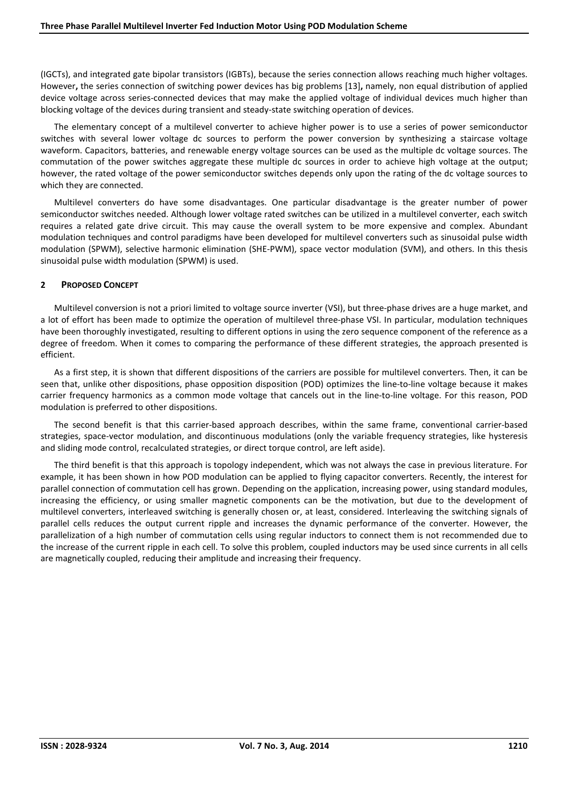(IGCTs), and integrated gate bipolar transistors (IGBTs), because the series connection allows reaching much higher voltages. However**,** the series connection of switching power devices has big problems [13]**,** namely, non equal distribution of applied device voltage across series-connected devices that may make the applied voltage of individual devices much higher than blocking voltage of the devices during transient and steady-state switching operation of devices.

The elementary concept of a multilevel converter to achieve higher power is to use a series of power semiconductor switches with several lower voltage dc sources to perform the power conversion by synthesizing a staircase voltage waveform. Capacitors, batteries, and renewable energy voltage sources can be used as the multiple dc voltage sources. The commutation of the power switches aggregate these multiple dc sources in order to achieve high voltage at the output; however, the rated voltage of the power semiconductor switches depends only upon the rating of the dc voltage sources to which they are connected.

Multilevel converters do have some disadvantages. One particular disadvantage is the greater number of power semiconductor switches needed. Although lower voltage rated switches can be utilized in a multilevel converter, each switch requires a related gate drive circuit. This may cause the overall system to be more expensive and complex. Abundant modulation techniques and control paradigms have been developed for multilevel converters such as sinusoidal pulse width modulation (SPWM), selective harmonic elimination (SHE-PWM), space vector modulation (SVM), and others. In this thesis sinusoidal pulse width modulation (SPWM) is used.

#### **2 PROPOSED CONCEPT**

Multilevel conversion is not a priori limited to voltage source inverter (VSI), but three-phase drives are a huge market, and a lot of effort has been made to optimize the operation of multilevel three-phase VSI. In particular, modulation techniques have been thoroughly investigated, resulting to different options in using the zero sequence component of the reference as a degree of freedom. When it comes to comparing the performance of these different strategies, the approach presented is efficient.

As a first step, it is shown that different dispositions of the carriers are possible for multilevel converters. Then, it can be seen that, unlike other dispositions, phase opposition disposition (POD) optimizes the line-to-line voltage because it makes carrier frequency harmonics as a common mode voltage that cancels out in the line-to-line voltage. For this reason, POD modulation is preferred to other dispositions.

The second benefit is that this carrier-based approach describes, within the same frame, conventional carrier-based strategies, space-vector modulation, and discontinuous modulations (only the variable frequency strategies, like hysteresis and sliding mode control, recalculated strategies, or direct torque control, are left aside).

The third benefit is that this approach is topology independent, which was not always the case in previous literature. For example, it has been shown in how POD modulation can be applied to flying capacitor converters. Recently, the interest for parallel connection of commutation cell has grown. Depending on the application, increasing power, using standard modules, increasing the efficiency, or using smaller magnetic components can be the motivation, but due to the development of multilevel converters, interleaved switching is generally chosen or, at least, considered. Interleaving the switching signals of parallel cells reduces the output current ripple and increases the dynamic performance of the converter. However, the parallelization of a high number of commutation cells using regular inductors to connect them is not recommended due to the increase of the current ripple in each cell. To solve this problem, coupled inductors may be used since currents in all cells are magnetically coupled, reducing their amplitude and increasing their frequency.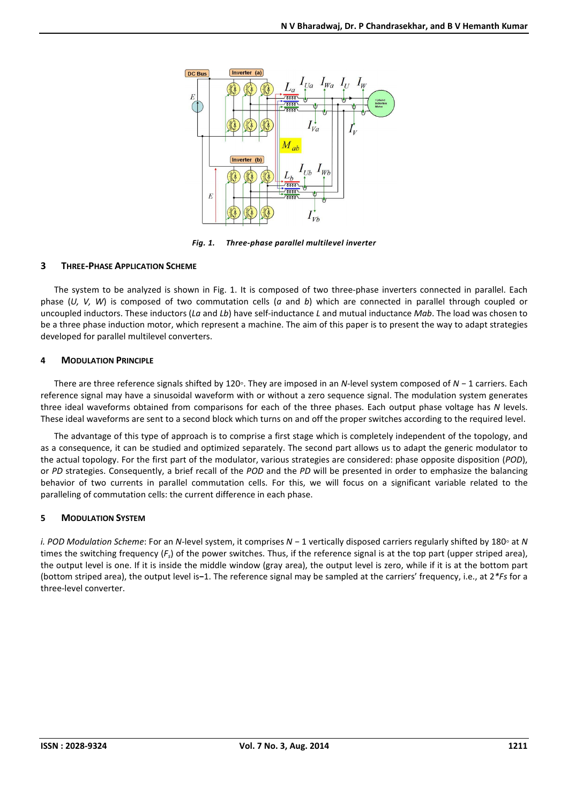

*Fig. 1. Three-phase parallel multilevel inverter* 

#### **3 THREE-PHASE APPLICATION SCHEME**

The system to be analyzed is shown in Fig. 1. It is composed of two three-phase inverters connected in parallel. Each phase (*U, V, W*) is composed of two commutation cells (*a* and *b*) which are connected in parallel through coupled or uncoupled inductors. These inductors (*La* and *Lb*) have self-inductance *L* and mutual inductance *Mab*. The load was chosen to be a three phase induction motor, which represent a machine. The aim of this paper is to present the way to adapt strategies developed for parallel multilevel converters.

#### **4 MODULATION PRINCIPLE**

There are three reference signals shifted by 120*◦*. They are imposed in an *N*-level system composed of *N −* 1 carriers. Each reference signal may have a sinusoidal waveform with or without a zero sequence signal. The modulation system generates three ideal waveforms obtained from comparisons for each of the three phases. Each output phase voltage has *N* levels. These ideal waveforms are sent to a second block which turns on and off the proper switches according to the required level.

The advantage of this type of approach is to comprise a first stage which is completely independent of the topology, and as a consequence, it can be studied and optimized separately. The second part allows us to adapt the generic modulator to the actual topology. For the first part of the modulator, various strategies are considered: phase opposite disposition (*POD*), or *PD* strategies. Consequently, a brief recall of the *POD* and the *PD* will be presented in order to emphasize the balancing behavior of two currents in parallel commutation cells. For this, we will focus on a significant variable related to the paralleling of commutation cells: the current difference in each phase.

## **5 MODULATION SYSTEM**

*i. POD Modulation Scheme*: For an *N*-level system, it comprises *N −* 1 vertically disposed carriers regularly shifted by 180*◦* at *N*  times the switching frequency ( $F_s$ ) of the power switches. Thus, if the reference signal is at the top part (upper striped area), the output level is one. If it is inside the middle window (gray area), the output level is zero, while if it is at the bottom part (bottom striped area), the output level is**−**1. The reference signal may be sampled at the carriers' frequency, i.e., at 2*\*Fs* for a three-level converter.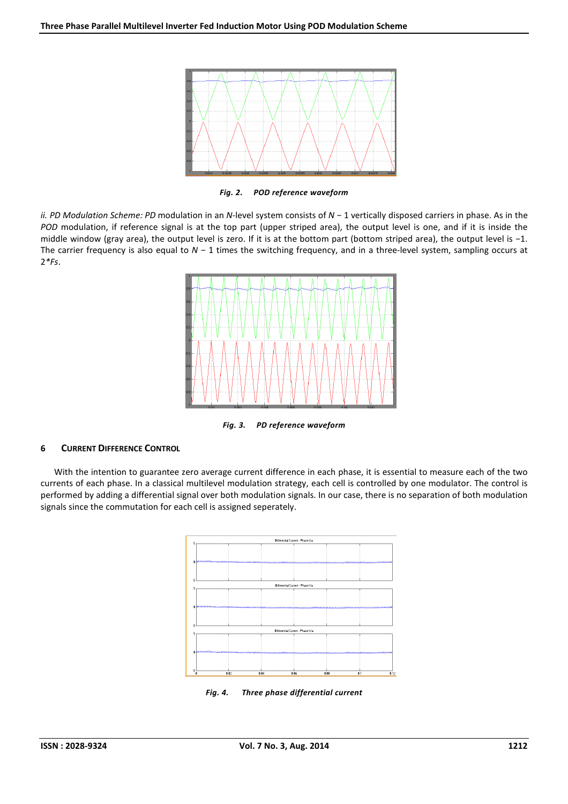

*Fig. 2. POD reference waveform* 

*ii. PD Modulation Scheme: PD* modulation in an *N*-level system consists of *N −* 1 vertically disposed carriers in phase. As in the *POD* modulation, if reference signal is at the top part (upper striped area), the output level is one, and if it is inside the middle window (gray area), the output level is zero. If it is at the bottom part (bottom striped area), the output level is *−*1. The carrier frequency is also equal to *N −* 1 times the switching frequency, and in a three-level system, sampling occurs at 2*\*Fs*.



*Fig. 3. PD reference waveform* 

## **6 CURRENT DIFFERENCE CONTROL**

With the intention to guarantee zero average current difference in each phase, it is essential to measure each of the two currents of each phase. In a classical multilevel modulation strategy, each cell is controlled by one modulator. The control is performed by adding a differential signal over both modulation signals. In our case, there is no separation of both modulation signals since the commutation for each cell is assigned seperately.



*Fig. 4. Three phase differential current*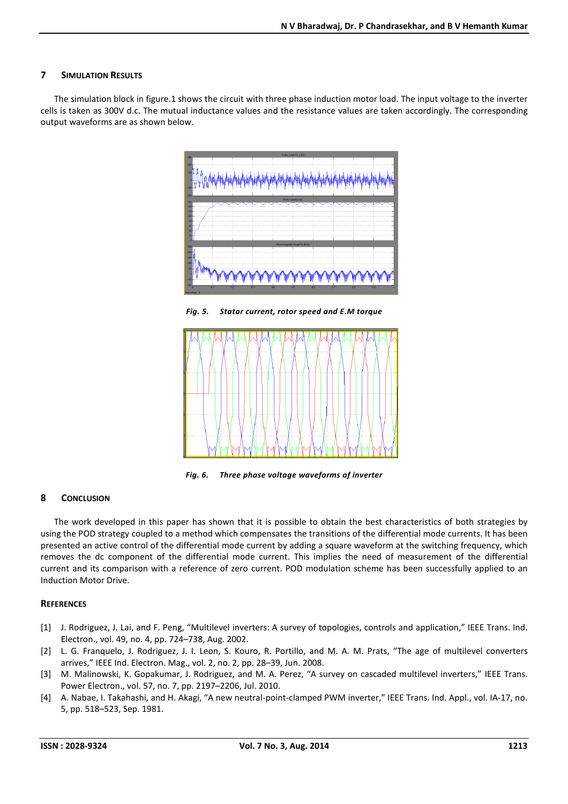## **7 SIMULATION RESULTS**

The simulation block in figure.1 shows the circuit with three phase induction motor load. The input voltage to the inverter cells is taken as 300V d.c. The mutual inductance values and the resistance values are taken accordingly. The corresponding output waveforms are as shown below.



*Fig. 5. Stator current, rotor speed and E.M torque* 



*Fig. 6. Three phase voltage waveforms of inverter* 

## **8 CONCLUSION**

The work developed in this paper has shown that it is possible to obtain the best characteristics of both strategies by using the POD strategy coupled to a method which compensates the transitions of the differential mode currents. It has been presented an active control of the differential mode current by adding a square waveform at the switching frequency, which removes the dc component of the differential mode current. This implies the need of measurement of the differential current and its comparison with a reference of zero current. POD modulation scheme has been successfully applied to an Induction Motor Drive.

## **REFERENCES**

- [1] J. Rodriguez, J. Lai, and F. Peng, "Multilevel inverters: A survey of topologies, controls and application," IEEE Trans. Ind. Electron., vol. 49, no. 4, pp. 724–738, Aug. 2002.
- [2] L. G. Franquelo, J. Rodriguez, J. I. Leon, S. Kouro, R. Portillo, and M. A. M. Prats, "The age of multilevel converters arrives," IEEE Ind. Electron. Mag., vol. 2, no. 2, pp. 28–39, Jun. 2008.
- [3] M. Malinowski, K. Gopakumar, J. Rodriguez, and M. A. Perez, "A survey on cascaded multilevel inverters," IEEE Trans. Power Electron., vol. 57, no. 7, pp. 2197–2206, Jul. 2010.
- [4] A. Nabae, I. Takahashi, and H. Akagi, "A new neutral-point-clamped PWM inverter," IEEE Trans. Ind. Appl., vol. IA-17, no. 5, pp. 518–523, Sep. 1981.